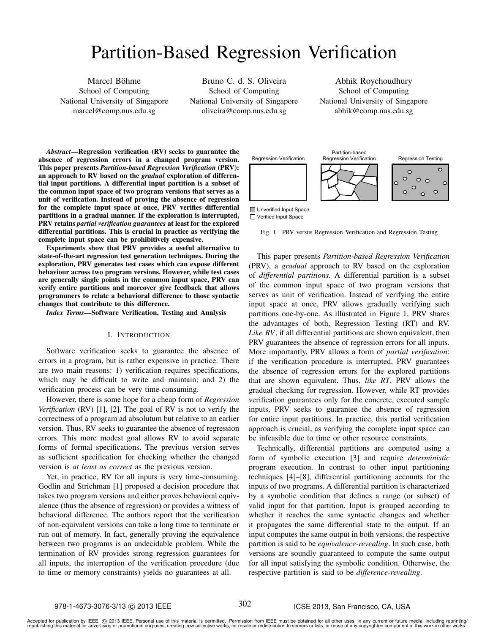# Partition-Based Regression Verification

Marcel Böhme School of Computing National University of Singapore marcel@comp.nus.edu.sg

Bruno C. d. S. Oliveira School of Computing National University of Singapore oliveira@comp.nus.edu.sg

Abhik Roychoudhury School of Computing National University of Singapore abhik@comp.nus.edu.sg

*Abstract*—Regression verification (RV) seeks to guarantee the absence of regression errors in a changed program version. This paper presents *Partition-based Regression Verification* (PRV): an approach to RV based on the *gradual* exploration of differential input partitions. A differential input partition is a subset of the common input space of two program versions that serves as a unit of verification. Instead of proving the absence of regression for the complete input space at once, PRV verifies differential partitions in a gradual manner. If the exploration is interrupted, PRV retains *partial verification guarantees* at least for the explored differential partitions. This is crucial in practice as verifying the complete input space can be prohibitively expensive.

Experiments show that PRV provides a useful alternative to state-of-the-art regression test generation techniques. During the exploration, PRV generates test cases which can expose different behaviour across two program versions. However, while test cases are generally single points in the common input space, PRV can verify entire partitions and moreover give feedback that allows programmers to relate a behavioral difference to those syntactic changes that contribute to this difference.

*Index Terms*—Software Verification, Testing and Analysis

## I. INTRODUCTION

Software verification seeks to guarantee the absence of errors in a program, but is rather expensive in practice. There are two main reasons: 1) verification requires specifications, which may be difficult to write and maintain; and 2) the verification process can be very time-consuming.

However, there is some hope for a cheap form of *Regression Verification* (RV) [1], [2]. The goal of RV is not to verify the correctness of a program ad absolutum but relative to an earlier version. Thus, RV seeks to guarantee the absence of regression errors. This more modest goal allows RV to avoid separate forms of formal specifications. The previous version serves as sufficient specification for checking whether the changed version is *at least as correct* as the previous version.

Yet, in practice, RV for all inputs is very time-consuming. Godlin and Strichman [1] proposed a decision procedure that takes two program versions and either proves behavioral equivalence (thus the absence of regression) or provides a witness of behavioral difference. The authors report that the verification of non-equivalent versions can take a long time to terminate or run out of memory. In fact, generally proving the equivalence between two programs is an undecidable problem. While the termination of RV provides strong regression guarantees for all inputs, the interruption of the verification procedure (due to time or memory constraints) yields no guarantees at all.



□ Verified Input Space

Fig. 1. PRV versus Regression Verification and Regression Testing

This paper presents *Partition-based Regression Verification* (PRV), a *gradual* approach to RV based on the exploration of *differential partitions*. A differential partition is a subset of the common input space of two program versions that serves as unit of verification. Instead of verifying the entire input space at once, PRV allows gradually verifying such partitions one-by-one. As illustrated in Figure 1, PRV shares the advantages of both, Regression Testing (RT) and RV. *Like RV*, if all differential partitions are shown equivalent, then PRV guarantees the absence of regression errors for all inputs. More importantly, PRV allows a form of *partial verification*: if the verification procedure is interrupted, PRV guarantees the absence of regression errors for the explored partitions that are shown equivalent. Thus, *like RT*, PRV allows the gradual checking for regression. However, while RT provides verification guarantees only for the concrete, executed sample inputs, PRV seeks to guarantee the absence of regression for entire input partitions. In practice, this partial verification approach is crucial, as verifying the complete input space can be infeasible due to time or other resource constraints.

Technically, differential partitions are computed using a form of symbolic execution [3] and require *deterministic* program execution. In contrast to other input partitioning techniques [4]–[8], differential partitioning accounts for the inputs of two programs. A differential partition is characterized by a symbolic condition that defines a range (or subset) of valid input for that partition. Input is grouped according to whether it reaches the same syntactic changes and whether it propagates the same differential state to the output. If an input computes the same output in both versions, the respective partition is said to be *equivalence-revealing*. In such case, both versions are soundly guaranteed to compute the same output for all input satisfying the symbolic condition. Otherwise, the respective partition is said to be *difference-revealing*.

Accepted for publication by IEEE. ⓒ 2013 IEEE. Personal use of this material is permitted. Permission from IEEE must be obtained for all other uses, in any current or future media, including reprinting/<br>republishing this m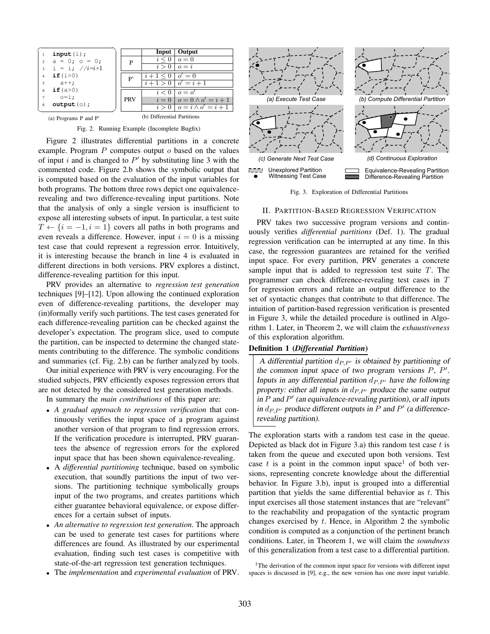

Fig. 2. Running Example (Incomplete Bugfix)

Figure 2 illustrates differential partitions in a concrete example. Program  $P$  computes output  $o$  based on the values of input  $i$  and is changed to  $P'$  by substituting line 3 with the commented code. Figure 2.b shows the symbolic output that is computed based on the evaluation of the input variables for both programs. The bottom three rows depict one equivalencerevealing and two difference-revealing input partitions. Note that the analysis of only a single version is insufficient to expose all interesting subsets of input. In particular, a test suite  $T \leftarrow \{i = -1, i = 1\}$  covers all paths in both programs and even reveals a difference. However, input  $i = 0$  is a missing test case that could represent a regression error. Intuitively, it is interesting because the branch in line 4 is evaluated in different directions in both versions. PRV explores a distinct, difference-revealing partition for this input.

PRV provides an alternative to *regression test generation* techniques [9]–[12]. Upon allowing the continued exploration even of difference-revealing partitions, the developer may (in)formally verify such partitions. The test cases generated for each difference-revealing partition can be checked against the developer's expectation. The program slice, used to compute the partition, can be inspected to determine the changed statements contributing to the difference. The symbolic conditions and summaries (cf. Fig. 2.b) can be further analyzed by tools.

Our initial experience with PRV is very encouraging. For the studied subjects, PRV efficiently exposes regression errors that are not detected by the considered test generation methods.

In summary the *main contributions* of this paper are:

- *A gradual approach to regression verification* that continuously verifies the input space of a program against another version of that program to find regression errors. If the verification procedure is interrupted, PRV guarantees the absence of regression errors for the explored input space that has been shown equivalence-revealing.
- A *differential partitioning* technique, based on symbolic execution, that soundly partitions the input of two versions. The partitioning technique symbolically groups input of the two programs, and creates partitions which either guarantee behavioral equivalence, or expose differences for a certain subset of inputs.
- *An alternative to regression test generation*. The approach can be used to generate test cases for partitions where differences are found. As illustrated by our experimental evaluation, finding such test cases is competitive with state-of-the-art regression test generation techniques.
- The *implementation* and *experimental evaluation* of PRV.



Fig. 3. Exploration of Differential Partitions

#### II. PARTITION-BASED REGRESSION VERIFICATION

PRV takes two successive program versions and continuously verifies *differential partitions* (Def. 1). The gradual regression verification can be interrupted at any time. In this case, the regression guarantees are retained for the verified input space. For every partition, PRV generates a concrete sample input that is added to regression test suite T. The programmer can check difference-revealing test cases in T for regression errors and relate an output difference to the set of syntactic changes that contribute to that difference. The intuition of partition-based regression verification is presented in Figure 3, while the detailed procedure is outlined in Algorithm 1. Later, in Theorem 2, we will claim the *exhaustiveness* of this exploration algorithm.

#### Definition 1 (*Differential Partition*)

A differential partition  $d_{P,P'}$  is obtained by partitioning of the common input space of two program versions  $P$ ,  $P'$ . Inputs in any differential partition  $d_{P,P'}$  have the following property: either all inputs in  $d_{P,P'}$  produce the same output in  $P$  and  $P'$  (an equivalence-revealing partition), or all inputs in  $d_{P,P'}$  produce different outputs in P and P' (a differencerevealing partition).

The exploration starts with a random test case in the queue. Depicted as black dot in Figure 3.a) this random test case  $t$  is taken from the queue and executed upon both versions. Test case t is a point in the common input space<sup>1</sup> of both versions, representing concrete knowledge about the differential behavior. In Figure 3.b), input is grouped into a differential partition that yields the same differential behavior as  $t$ . This input exercises all those statement instances that are "relevant" to the reachability and propagation of the syntactic program changes exercised by  $t$ . Hence, in Algorithm 2 the symbolic condition is computed as a conjunction of the pertinent branch conditions. Later, in Theorem 1, we will claim the *soundness* of this generalization from a test case to a differential partition.

<sup>&</sup>lt;sup>1</sup>The derivation of the common input space for versions with different input spaces is discussed in [9], e.g., the new version has one more input variable.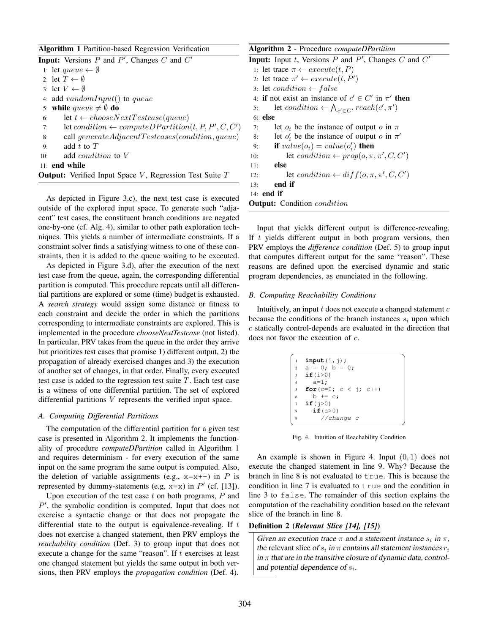| <b>Algorithm 1 Partition-based Regression Verification</b>          | А  |
|---------------------------------------------------------------------|----|
| <b>Input:</b> Versions $P$ and $P'$ , Changes $C$ and $C'$          | Ir |
| 1: let queue $\leftarrow \emptyset$                                 |    |
| 2: let $T \leftarrow \emptyset$                                     |    |
| 3: let $V \leftarrow \emptyset$                                     |    |
| 4: add $randomInput()$ to queue                                     |    |
| 5: while queue $\neq \emptyset$ do                                  |    |
| let $t \leftarrow chooseNextTest case(queue)$<br>6:                 |    |
| let condition $\leftarrow computeDPartition(t, P, P', C, C')$<br>7: |    |
| call $generate AdjacentTest cases (condition, queue)$<br>8:         |    |
| add $t$ to $T$<br>9:                                                |    |
| add <i>condition</i> to V<br>10:                                    |    |
| $11:$ end while                                                     |    |
| <b>Output:</b> Verified Input Space V, Regression Test Suite $T$    |    |

As depicted in Figure 3.c), the next test case is executed outside of the explored input space. To generate such "adjacent" test cases, the constituent branch conditions are negated one-by-one (cf. Alg. 4), similar to other path exploration techniques. This yields a number of intermediate constraints. If a constraint solver finds a satisfying witness to one of these constraints, then it is added to the queue waiting to be executed.

As depicted in Figure 3.d), after the execution of the next test case from the queue, again, the corresponding differential partition is computed. This procedure repeats until all differential partitions are explored or some (time) budget is exhausted. A *search strategy* would assign some distance or fitness to each constraint and decide the order in which the partitions corresponding to intermediate constraints are explored. This is implemented in the procedure *chooseNextTestcase* (not listed). In particular, PRV takes from the queue in the order they arrive but prioritizes test cases that promise 1) different output, 2) the propagation of already exercised changes and 3) the execution of another set of changes, in that order. Finally, every executed test case is added to the regression test suite  $T$ . Each test case is a witness of one differential partition. The set of explored differential partitions V represents the verified input space.

## *A. Computing Differential Partitions*

The computation of the differential partition for a given test case is presented in Algorithm 2. It implements the functionality of procedure *computeDPartition* called in Algorithm 1 and requires determinism - for every execution of the same input on the same program the same output is computed. Also, the deletion of variable assignments (e.g.,  $x=x++$ ) in P is represented by dummy-statements (e.g,  $x=x$ ) in  $P'$  (cf. [13]).

Upon execution of the test case  $t$  on both programs,  $P$  and  $P'$ , the symbolic condition is computed. Input that does not exercise a syntactic change or that does not propagate the differential state to the output is equivalence-revealing. If  $t$ does not exercise a changed statement, then PRV employs the *reachability condition* (Def. 3) to group input that does not execute a change for the same "reason". If t exercises at least one changed statement but yields the same output in both versions, then PRV employs the *propagation condition* (Def. 4).

| <b>Algorithm 2</b> - Procedure <i>computeDPartition</i>                |
|------------------------------------------------------------------------|
| <b>Input:</b> Input t, Versions P and P', Changes C and $C'$           |
| 1: let trace $\pi \leftarrow execute(t, P)$                            |
| 2: let trace $\pi' \leftarrow execute(t, P')$                          |
| 3: let <i>condition</i> $\leftarrow$ <i>false</i>                      |
| 4: if not exist an instance of $c' \in C'$ in $\pi'$ then              |
| let condition $\leftarrow \bigwedge_{c' \in C'} reach(c', \pi')$<br>5: |
| $6:$ else                                                              |
| let $o_i$ be the instance of output o in $\pi$<br>7:                   |
| let $o'_i$ be the instance of output o in $\pi'$<br>8:                 |
| if $value(o_i) = value(o'_i)$ then<br>9:                               |
| let condition $\leftarrow prop(o, \pi, \pi', C, C')$<br>10:            |
| else<br>11:                                                            |
| let condition $\leftarrow diff(o, \pi, \pi', C, C')$<br>12:            |
| end if<br>13:                                                          |
| 14: end if                                                             |

Input that yields different output is difference-revealing. If  $t$  yields different output in both program versions, then PRV employs the *difference condition* (Def. 5) to group input that computes different output for the same "reason". These reasons are defined upon the exercised dynamic and static program dependencies, as enunciated in the following.

## *B. Computing Reachability Conditions*

**Output:** Condition *condition* 

Intuitively, an input  $t$  does not execute a changed statement  $c$ because the conditions of the branch instances  $s_i$  upon which c statically control-depends are evaluated in the direction that does not favor the execution of c.

|                | input(i, j);            |
|----------------|-------------------------|
|                | $2 a = 0; b = 0;$       |
|                | 3 $if(i>0)$             |
| $\overline{4}$ | $a=1$ ;                 |
| 5              | for $(c=0; c < j; c++)$ |
| 6              | $b \leftarrow c$ :      |
| 7              | if(†>0)                 |
| 8              | if $(a>0)$              |
| 9              | // change c             |

Fig. 4. Intuition of Reachability Condition

An example is shown in Figure 4. Input  $(0, 1)$  does not execute the changed statement in line 9. Why? Because the branch in line 8 is not evaluated to true. This is because the condition in line 7 is evaluated to true and the condition in line 3 to false. The remainder of this section explains the computation of the reachability condition based on the relevant slice of the branch in line 8.

#### Definition 2 (*Relevant Slice [14], [15]*)

Given an execution trace  $\pi$  and a statement instance  $s_i$  in  $\pi$ , the relevant slice of  $s_i$  in  $\pi$  contains all statement instances  $r_i$ in  $\pi$  that are in the transitive closure of dynamic data, controland potential dependence of  $s_i$ .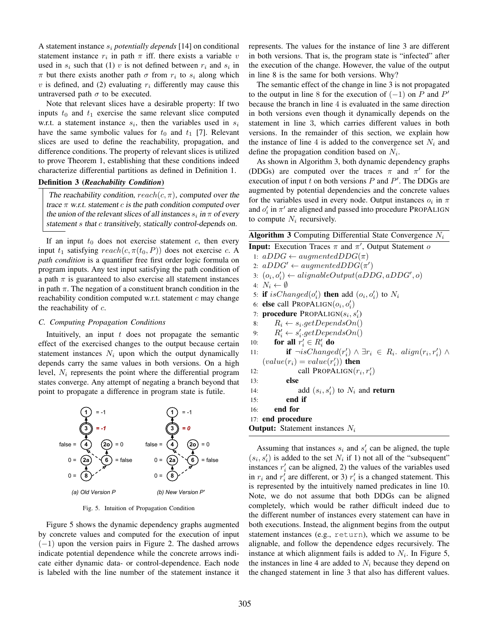A statement instance s<sup>i</sup> *potentially depends* [14] on conditional statement instance  $r_i$  in path  $\pi$  iff. there exists a variable v used in  $s_i$  such that (1) v is not defined between  $r_i$  and  $s_i$  in  $\pi$  but there exists another path  $\sigma$  from  $r_i$  to  $s_i$  along which v is defined, and (2) evaluating  $r_i$  differently may cause this untraversed path  $\sigma$  to be executed.

Note that relevant slices have a desirable property: If two inputs  $t_0$  and  $t_1$  exercise the same relevant slice computed w.r.t. a statement instance  $s_i$ , then the variables used in  $s_i$ have the same symbolic values for  $t_0$  and  $t_1$  [7]. Relevant slices are used to define the reachability, propagation, and difference conditions. The property of relevant slices is utilized to prove Theorem 1, establishing that these conditions indeed characterize differential partitions as defined in Definition 1.

## Definition 3 (*Reachability Condition*)

The reachability condition,  $reach(c, \pi)$ , computed over the trace  $\pi$  w.r.t. statement c is the path condition computed over the union of the relevant slices of all instances  $s_i$  in  $\pi$  of every statement s that c transitively, statically control-depends on.

If an input  $t_0$  does not exercise statement c, then every input  $t_1$  satisfying  $reach(c, \pi(t_0, P))$  does not exercise c. A *path condition* is a quantifier free first order logic formula on program inputs. Any test input satisfying the path condition of a path  $\pi$  is guaranteed to also exercise all statement instances in path  $\pi$ . The negation of a constituent branch condition in the reachability condition computed w.r.t. statement  $c$  may change the reachability of c.

#### *C. Computing Propagation Conditions*

Intuitively, an input  $t$  does not propagate the semantic effect of the exercised changes to the output because certain statement instances  $N_i$  upon which the output dynamically depends carry the same values in both versions. On a high level,  $N_i$  represents the point where the differential program states converge. Any attempt of negating a branch beyond that point to propagate a difference in program state is futile.



Fig. 5. Intuition of Propagation Condition

Figure 5 shows the dynamic dependency graphs augmented by concrete values and computed for the execution of input (−1) upon the version pairs in Figure 2. The dashed arrows indicate potential dependence while the concrete arrows indicate either dynamic data- or control-dependence. Each node is labeled with the line number of the statement instance it

represents. The values for the instance of line 3 are different in both versions. That is, the program state is "infected" after the execution of the change. However, the value of the output in line 8 is the same for both versions. Why?

The semantic effect of the change in line 3 is not propagated to the output in line 8 for the execution of  $(-1)$  on P and P' because the branch in line 4 is evaluated in the same direction in both versions even though it dynamically depends on the statement in line 3, which carries different values in both versions. In the remainder of this section, we explain how the instance of line 4 is added to the convergence set  $N_i$  and define the propagation condition based on  $N_i$ .

As shown in Algorithm 3, both dynamic dependency graphs (DDGs) are computed over the traces  $\pi$  and  $\pi'$  for the execution of input t on both versions  $P$  and  $P'$ . The DDGs are augmented by potential dependencies and the concrete values for the variables used in every node. Output instances  $o_i$  in  $\pi$ and  $o'_i$  in  $\pi'$  are aligned and passed into procedure PROPALIGN to compute  $N_i$  recursively.

|  |  |  |  | <b>Algorithm 3</b> Computing Differential State Convergence $N_i$ |  |
|--|--|--|--|-------------------------------------------------------------------|--|
|--|--|--|--|-------------------------------------------------------------------|--|

| $\mathbf{r}$                                                                                 |
|----------------------------------------------------------------------------------------------|
| <b>Input:</b> Execution Traces $\pi$ and $\pi'$ , Output Statement o                         |
| 1: $aDDG \leftarrow augmentedDDG(\pi)$                                                       |
| 2: $aDDG' \leftarrow augmentedDDG(\pi')$                                                     |
| 3: $(o_i, o'_i) \leftarrow alignedbeOutput(aDDG, aDDG', o)$                                  |
| 4: $N_i \leftarrow \emptyset$                                                                |
| 5: if isChanged( $o'_i$ ) then add $(o_i, o'_i)$ to $N_i$                                    |
| 6: <b>else</b> call PROPALIGN $(o_i, o'_i)$                                                  |
| 7: <b>procedure</b> PROPALIGN( $s_i, s'_i$ )                                                 |
| $R_i \leftarrow s_i.getDependsOn()$<br>8:                                                    |
| $R'_i \leftarrow s'_i.getDependsOn()$<br>9:                                                  |
| 10: for all $r'_i \in R'_i$ do                                                               |
| <b>if</b> $\neg isChanged(r'_i) \land \exists r_i \in R_i$ . $align(r_i, r'_i) \land$<br>11: |
| $(value(r_i) = value(r'_i))$ then                                                            |
| call PROPALIGN $(r_i, r'_i)$<br>12:                                                          |
| else<br>13:                                                                                  |
| add $(s_i, s'_i)$ to $N_i$ and <b>return</b><br>14:                                          |
| end if<br>15:                                                                                |
| end for<br>16:                                                                               |
| 17: end procedure                                                                            |
| <b>Output:</b> Statement instances $N_i$                                                     |

Assuming that instances  $s_i$  and  $s'_i$  can be aligned, the tuple  $(s_i, s'_i)$  is added to the set  $N_i$  if 1) not all of the "subsequent" instances  $r_i'$  can be aligned, 2) the values of the variables used in  $r_i$  and  $r'_i$  are different, or 3)  $r'_i$  is a changed statement. This is represented by the intuitively named predicates in line 10. Note, we do not assume that both DDGs can be aligned completely, which would be rather difficult indeed due to the different number of instances every statement can have in both executions. Instead, the alignment begins from the output statement instances (e.g., return), which we assume to be alignable, and follow the dependence edges recursively. The instance at which alignment fails is added to  $N_i$ . In Figure 5, the instances in line 4 are added to  $N_i$  because they depend on the changed statement in line 3 that also has different values.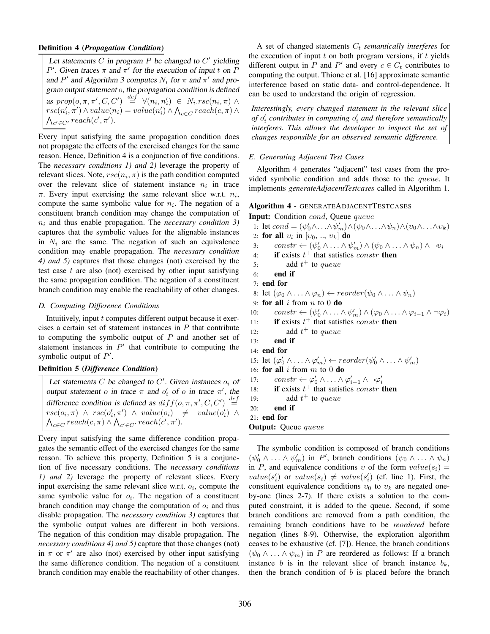## Definition 4 (*Propagation Condition*)

Let statements  $C$  in program  $P$  be changed to  $C'$  yielding P'. Given traces  $\pi$  and  $\pi'$  for the execution of input t on P and P' and Algorithm 3 computes  $N_i$  for  $\pi$  and  $\pi'$  and program output statement o, the propagation condition is defined as  $prop(o, \pi, \pi', C, C') \stackrel{def}{=} \forall (n_i, n'_i) \in N_i.rsc(n_i, \pi) \land$  $rsc(n'_i, \pi') \wedge value(n_i) = value(n'_i) \wedge \bigwedge_{c \in C} reach(c, \pi) \wedge$  $\bigwedge_{c' \in C'} reach(c', \pi').$ 

Every input satisfying the same propagation condition does not propagate the effects of the exercised changes for the same reason. Hence, Definition 4 is a conjunction of five conditions. The *necessary conditions 1) and 2)* leverage the property of relevant slices. Note,  $rsc(n_i, \pi)$  is the path condition computed over the relevant slice of statement instance  $n_i$  in trace  $\pi$ . Every input exercising the same relevant slice w.r.t.  $n_i$ , compute the same symbolic value for  $n_i$ . The negation of a constituent branch condition may change the computation of  $n_i$  and thus enable propagation. The *necessary condition*  $\beta$ captures that the symbolic values for the alignable instance in  $N_i$  are the same. The negation of such an equivalence condition may enable propagation. The *necessary conditio 4) and 5)* captures that those changes (not) exercised by the test case  $t$  are also (not) exercised by other input satisfying the same propagation condition. The negation of a constituer branch condition may enable the reachability of other changes.

#### *D. Computing Difference Conditions*

Intuitively, input  $t$  computes different output because it exercises a certain set of statement instances in  $P$  that contribut to computing the symbolic output of  $P$  and another set of statement instances in  $P'$  that contribute to computing the symbolic output of  $P'$ .

# Definition 5 (*Difference Condition*)

Let statements  $C$  be changed to  $C'$ . Given instances  $o_i$  of output statement o in trace  $\pi$  and  $o'_i$  of o in trace  $\pi'$ , the difference condition is defined as  $diff(\rho, \pi, \pi', C, C') \stackrel{def}{=}$  $\mathit{rsc}(o_i, \pi) \ \land \ \mathit{rsc}(o'_i, \pi') \ \land \ \mathit{value}(o_i) \ \neq \ \ \mathit{value}(o'_i) \ \land$  $\bigwedge_{c \in C} reach(c, \pi) \wedge \bigwedge_{c' \in C'} reach(c', \pi').$ 

Every input satisfying the same difference condition propagates the semantic effect of the exercised changes for the same reason. To achieve this property, Definition 5 is a conjunction of five necessary conditions. The *necessary conditions 1) and 2)* leverage the property of relevant slices. Every input exercising the same relevant slice w.r.t.  $o_i$ , compute the same symbolic value for  $o_i$ . The negation of a constituent branch condition may change the computation of  $o_i$  and thus disable propagation. The *necessary condition 3)* captures that the symbolic output values are different in both versions. The negation of this condition may disable propagation. The *necessary conditions 4) and 5)* capture that those changes (not) in  $\pi$  or  $\pi'$  are also (not) exercised by other input satisfying the same difference condition. The negation of a constituent branch condition may enable the reachability of other changes.

A set of changed statements  $C_t$  *semantically interferes* for the execution of input  $t$  on both program versions, if  $t$  yields different output in P and P' and every  $c \in C_t$  contributes to computing the output. Thione et al. [16] approximate semantic interference based on static data- and control-dependence. It can be used to understand the origin of regression.

*Interestingly, every changed statement in the relevant slice of*  $o'_{i}$  contributes in computing  $o'_{i}$  and therefore semantically *interferes. This allows the developer to inspect the set of changes responsible for an observed semantic difference.*

## *E. Generating Adjacent Test Cases*

Algorithm 4 generates "adjacent" test cases from the provided symbolic condition and adds those to the queue. It implements *generateAdjacentTestcases* called in Algorithm 1.

|     | Algorithm 4 - GENERATEADJACENTTESTCASES                                                                                                  |
|-----|------------------------------------------------------------------------------------------------------------------------------------------|
|     | <b>Input:</b> Condition <i>cond</i> , Queue <i>queue</i>                                                                                 |
|     | 1: let $cond = (\psi'_0 \wedge \ldots \wedge \psi'_m) \wedge (\psi_0 \wedge \ldots \wedge \psi_n) \wedge (v_0 \wedge \ldots \wedge v_k)$ |
|     | 2: for all $v_i$ in $[v_0, , v_k]$ do                                                                                                    |
| 3:  | $constr \leftarrow (\psi'_0 \wedge \ldots \wedge \psi'_m) \wedge (\psi_0 \wedge \ldots \wedge \psi_n) \wedge \neg v_i$                   |
| 4:  | if exists $t^+$ that satisfies <i>constr</i> then                                                                                        |
| 5:  | add $t^+$ to queue                                                                                                                       |
| 6:  | end if                                                                                                                                   |
|     | $7:$ end for                                                                                                                             |
|     | 8: let $(\varphi_0 \wedge \ldots \wedge \varphi_n) \leftarrow reorder(\psi_0 \wedge \ldots \wedge \psi_n)$                               |
|     | 9: for all i from $n$ to 0 do                                                                                                            |
| 10: | constr $\leftarrow (\psi'_0 \wedge \ldots \wedge \psi'_m) \wedge (\varphi_0 \wedge \ldots \wedge \varphi_{i-1} \wedge \neg \varphi_i)$   |
| 11: | <b>if</b> exists $t^+$ that satisfies <i>constr</i> <b>then</b>                                                                          |
| 12: | add $t^+$ to queue                                                                                                                       |
| 13: | end if                                                                                                                                   |
|     | $14:$ end for                                                                                                                            |
|     | 15: let $(\varphi'_0 \wedge  \wedge \varphi'_m) \leftarrow reorder(\psi'_0 \wedge  \wedge \psi'_m)$                                      |
|     | 16: <b>for all</b> i from m to 0 <b>do</b>                                                                                               |
| 17: | $constr \leftarrow \varphi_0' \wedge \ldots \wedge \varphi_{i-1}' \wedge \neg \varphi_i'$                                                |
| 18: | <b>if</b> exists $t^+$ that satisfies <i>constr</i> <b>then</b>                                                                          |
| 19: | add $t^+$ to queue                                                                                                                       |
| 20: | end if                                                                                                                                   |
|     | $21:$ end for                                                                                                                            |
|     | <b>Output:</b> Queue <i>queue</i>                                                                                                        |

The symbolic condition is composed of branch conditions  $(\psi_0' \land \ldots \land \psi_m')$  in P', branch conditions  $(\psi_0 \land \ldots \land \psi_n)$ in P, and equivalence conditions v of the form  $value(s_i)$  =  $value(s'_i)$  or  $value(s_i) \neq value(s'_i)$  (cf. line 1). First, the constituent equivalence conditions  $v_0$  to  $v_k$  are negated oneby-one (lines 2-7). If there exists a solution to the computed constraint, it is added to the queue. Second, if some branch conditions are removed from a path condition, the remaining branch conditions have to be *reordered* before negation (lines 8-9). Otherwise, the exploration algorithm ceases to be exhaustive (cf. [7]). Hence, the branch conditions  $(\psi_0 \wedge \ldots \wedge \psi_m)$  in P are reordered as follows: If a branch instance b is in the relevant slice of branch instance  $b_k$ , then the branch condition of  $b$  is placed before the branch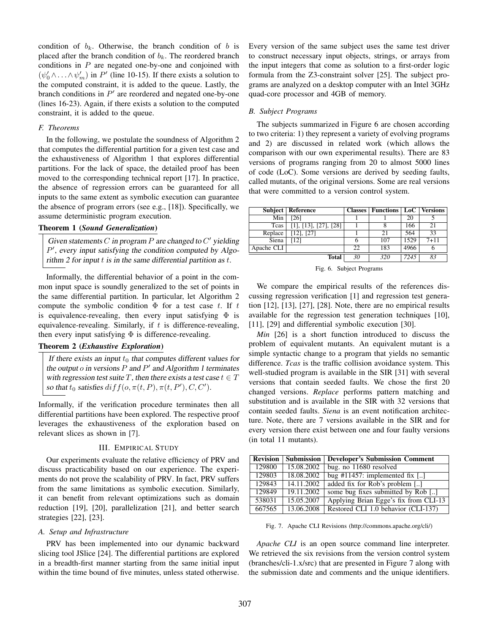condition of  $b_k$ . Otherwise, the branch condition of b is placed after the branch condition of  $b_k$ . The reordered branch conditions in  $P$  are negated one-by-one and conjoined with  $(\psi_0' \land ... \land \psi_m')$  in P' (line 10-15). If there exists a solution to the computed constraint, it is added to the queue. Lastly, the branch conditions in  $P'$  are reordered and negated one-by-one (lines 16-23). Again, if there exists a solution to the computed constraint, it is added to the queue.

## *F. Theorems*

In the following, we postulate the soundness of Algorithm 2 that computes the differential partition for a given test case and the exhaustiveness of Algorithm 1 that explores differential partitions. For the lack of space, the detailed proof has been moved to the corresponding technical report [17]. In practice, the absence of regression errors can be guaranteed for all inputs to the same extent as symbolic execution can guarantee the absence of program errors (see e.g., [18]). Specifically, we assume deterministic program execution.

## Theorem 1 (*Sound Generalization*)

Given statements  $C$  in program  $P$  are changed to  $C'$  yielding  $P'$ , every input satisfying the condition computed by Algorithm 2 for input  $t$  is in the same differential partition as  $t$ .

Informally, the differential behavior of a point in the common input space is soundly generalized to the set of points in the same differential partition. In particular, let Algorithm 2 compute the symbolic condition  $\Phi$  for a test case t. If t is equivalence-revealing, then every input satisfying  $\Phi$  is equivalence-revealing. Similarly, if  $t$  is difference-revealing, then every input satisfying  $\Phi$  is difference-revealing.

# Theorem 2 (*Exhaustive Exploration*)

If there exists an input  $t_0$  that computes different values for the output  $o$  in versions  $P$  and  $P'$  and Algorithm 1 terminates with regression test suite T, then there exists a test case  $t \in T$ so that  $t_0$  satisfies  $diff(o, \pi(t, P), \pi(t, P'), C, C').$ 

Informally, if the verification procedure terminates then all differential partitions have been explored. The respective proof leverages the exhaustiveness of the exploration based on relevant slices as shown in [7].

#### III. EMPIRICAL STUDY

Our experiments evaluate the relative efficiency of PRV and discuss practicability based on our experience. The experiments do not prove the scalability of PRV. In fact, PRV suffers from the same limitations as symbolic execution. Similarly, it can benefit from relevant optimizations such as domain reduction [19], [20], parallelization [21], and better search strategies [22], [23].

#### *A. Setup and Infrastructure*

PRV has been implemented into our dynamic backward slicing tool JSlice [24]. The differential partitions are explored in a breadth-first manner starting from the same initial input within the time bound of five minutes, unless stated otherwise.

Every version of the same subject uses the same test driver to construct necessary input objects, strings, or arrays from the input integers that come as solution to a first-order logic formula from the Z3-constraint solver [25]. The subject programs are analyzed on a desktop computer with an Intel 3GHz quad-core processor and 4GB of memory.

#### *B. Subject Programs*

The subjects summarized in Figure 6 are chosen according to two criteria: 1) they represent a variety of evolving programs and 2) are discussed in related work (which allows the comparison with our own experimental results). There are 83 versions of programs ranging from 20 to almost 5000 lines of code (LoC). Some versions are derived by seeding faults, called mutants, of the original versions. Some are real versions that were committed to a version control system.

|            | <b>Subject   Reference</b>       |    | <b>Classes   Functions   LoC   Versions</b> |      |          |
|------------|----------------------------------|----|---------------------------------------------|------|----------|
| Min        | [26]                             |    |                                             | 20   |          |
| Tcas       | $[1]$ , $[13]$ , $[27]$ , $[28]$ |    |                                             | 166  | 21       |
| Replace    | $[12]$ , $[27]$                  |    | 21                                          | 564  | 33       |
| Siena      | [12]                             |    | 107                                         | 1529 | $7 + 11$ |
| Apache CLI |                                  | 22 | 183                                         | 4966 |          |
|            | <b>Total</b>                     | 30 | 320                                         | 7245 | 83       |

Fig. 6. Subject Programs

We compare the empirical results of the references discussing regression verification [1] and regression test generation [12], [13], [27], [28]. Note, there are no empirical results available for the regression test generation techniques [10], [11], [29] and differential symbolic execution [30].

*Min* [26] is a short function introduced to discuss the problem of equivalent mutants. An equivalent mutant is a simple syntactic change to a program that yields no semantic difference. *Tcas* is the traffic collision avoidance system. This well-studied program is available in the SIR [31] with several versions that contain seeded faults. We chose the first 20 changed versions. *Replace* performs pattern matching and substitution and is available in the SIR with 32 versions that contain seeded faults. *Siena* is an event notification architecture. Note, there are 7 versions available in the SIR and for every version there exist between one and four faulty versions (in total 11 mutants).

| <b>Revision</b> | <b>Submission</b> | <b>Developer's Submission Comment</b> |
|-----------------|-------------------|---------------------------------------|
| 129800          | 15.08.2002        | bug. no 11680 resolved                |
| 129803          | 18.08.2002        | bug #11457: implemented fix $[]$      |
| 129843          | 14.11.2002        | added fix for Rob's problem []        |
| 129849          | 19.11.2002        | some bug fixes submitted by Rob []    |
| 538031          | 15.05.2007        | Applying Brian Egge's fix from CLI-13 |
| 667565          | 13.06.2008        | Restored CLI 1.0 behavior (CLI-137)   |

Fig. 7. Apache CLI Revisions (http://commons.apache.org/cli/)

*Apache CLI* is an open source command line interpreter. We retrieved the six revisions from the version control system (branches/cli-1.x/src) that are presented in Figure 7 along with the submission date and comments and the unique identifiers.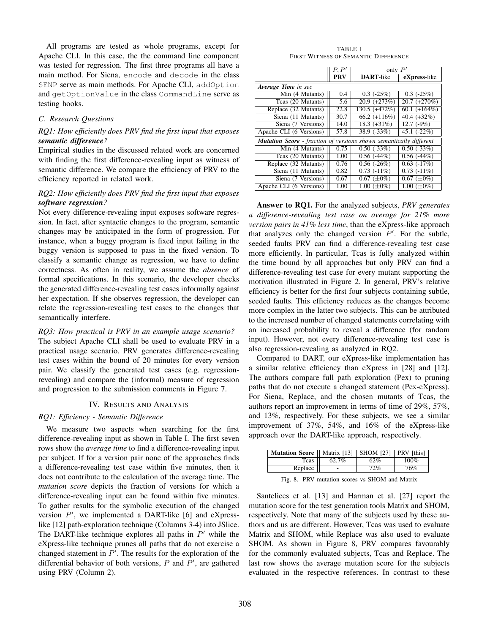All programs are tested as whole programs, except for Apache CLI. In this case, the the command line component was tested for regression. The first three programs all have a main method. For Siena, encode and decode in the class SENP serve as main methods. For Apache CLI, addOption and getOptionValue in the class CommandLine serve as testing hooks.

### *C. Research Questions*

# *RQ1: How efficiently does PRV find the first input that exposes semantic difference?*

Empirical studies in the discussed related work are concerned with finding the first difference-revealing input as witness of semantic difference. We compare the efficiency of PRV to the efficiency reported in related work.

# *RQ2: How efficiently does PRV find the first input that exposes software regression?*

Not every difference-revealing input exposes software regression. In fact, after syntactic changes to the program, semantic changes may be anticipated in the form of progression. For instance, when a buggy program is fixed input failing in the buggy version is supposed to pass in the fixed version. To classify a semantic change as regression, we have to define correctness. As often in reality, we assume the *absence* of formal specifications. In this scenario, the developer checks the generated difference-revealing test cases informally against her expectation. If she observes regression, the developer can relate the regression-revealing test cases to the changes that semantically interfere.

## *RQ3: How practical is PRV in an example usage scenario?*

The subject Apache CLI shall be used to evaluate PRV in a practical usage scenario. PRV generates difference-revealing test cases within the bound of 20 minutes for every version pair. We classify the generated test cases (e.g. regressionrevealing) and compare the (informal) measure of regression and progression to the submission comments in Figure 7.

#### IV. RESULTS AND ANALYSIS

#### *RQ1: Efficiency - Semantic Difference*

We measure two aspects when searching for the first difference-revealing input as shown in Table I. The first seven rows show the *average time* to find a difference-revealing input per subject. If for a version pair none of the approaches finds a difference-revealing test case within five minutes, then it does not contribute to the calculation of the average time. The *mutation score* depicts the fraction of versions for which a difference-revealing input can be found within five minutes. To gather results for the symbolic execution of the changed version  $P'$ , we implemented a DART-like [6] and eXpresslike [12] path-exploration technique (Columns 3-4) into JSlice. The DART-like technique explores all paths in  $P'$  while the eXpress-like technique prunes all paths that do not exercise a changed statement in  $P'$ . The results for the exploration of the differential behavior of both versions,  $P$  and  $P'$ , are gathered using PRV (Column 2).

TABLE I FIRST WITNESS OF SEMANTIC DIFFERENCE

|                                                                           | $P\!\!\!\!\cdot\!\!\!\!\cdot\!\!\!\!\cdot\!\!\!\!\cdot\!\!\!\!\cdot\!\!\!\!\cdot\!\!\!\!\cdot\!\!\!\!\cdot\!\!\!\!\cdot\!\!\!\!\cdot\!\!\!\!\cdot\!\!\!\!\cdot\!\!\!\!\cdot\!\!\!\!\cdot\!\!\!\!\cdot\!\!\!\!\cdot\!\!\!\!\cdot\!\!\!\!\cdot\!\!\!\!\cdot\!\!\!\!\cdot\!\!\!\!\cdot\!\!\!\!\cdot\!\!\!\!\cdot\!\!\!\!\cdot\!\!\!\!\cdot\!\!\!\!\cdot\!\!\!\!\cdot\!\!\!\!\cdot\!\!\!\!\cdot\!\!\!\!\cdot\!\!\!\!\cdot\!\!\!\!\cdot\!\!\!\!\cdot\!\!\!\!\cdot\!\!\!\!\cdot\!\!\!\!\cdot\!\!\$ | only                        |                             |  |  |
|---------------------------------------------------------------------------|----------------------------------------------------------------------------------------------------------------------------------------------------------------------------------------------------------------------------------------------------------------------------------------------------------------------------------------------------------------------------------------------------------------------------------------------------------------------------------------------|-----------------------------|-----------------------------|--|--|
|                                                                           | <b>PRV</b>                                                                                                                                                                                                                                                                                                                                                                                                                                                                                   | <b>DART-like</b>            | eXpress-like                |  |  |
| Average Time in sec                                                       |                                                                                                                                                                                                                                                                                                                                                                                                                                                                                              |                             |                             |  |  |
| Min (4 Mutants)                                                           | 0.4                                                                                                                                                                                                                                                                                                                                                                                                                                                                                          | $0.3$ ( $-25\%$ )           | $0.3$ ( $-25\%$ )           |  |  |
| Tcas (20 Mutants)                                                         | 5.6                                                                                                                                                                                                                                                                                                                                                                                                                                                                                          | $20.9 (+273%)$              | $20.7 (+270%)$              |  |  |
| Replace (32 Mutants)                                                      | 22.8                                                                                                                                                                                                                                                                                                                                                                                                                                                                                         | $130.5 (+472%)$             | $60.1 (+164%)$              |  |  |
| Siena (11 Mutants)                                                        | 30.7                                                                                                                                                                                                                                                                                                                                                                                                                                                                                         | $66.2 (+116%)$              | 40.4 $(+32\%)$              |  |  |
| Siena (7 Versions)                                                        | 14.0                                                                                                                                                                                                                                                                                                                                                                                                                                                                                         | $18.3 (+31\%)$              | $12.7(-9%)$                 |  |  |
| Apache CLI (6 Versions)                                                   | 57.8                                                                                                                                                                                                                                                                                                                                                                                                                                                                                         | $38.9$ $(-33\%)$            | 45.1 $(-22%)$               |  |  |
| <b>Mutation Score</b> - fraction of versions shown semantically different |                                                                                                                                                                                                                                                                                                                                                                                                                                                                                              |                             |                             |  |  |
| Min (4 Mutants)                                                           | 0.75                                                                                                                                                                                                                                                                                                                                                                                                                                                                                         | $0.50$ $\overline{(-33\%)}$ | $0.50(-33%)$                |  |  |
| Teas (20 Mutants)                                                         | 1.00                                                                                                                                                                                                                                                                                                                                                                                                                                                                                         | $0.56$ (-44%)               | $0.56$ (-44%)               |  |  |
| Replace (32 Mutants)                                                      | 0.76                                                                                                                                                                                                                                                                                                                                                                                                                                                                                         | $0.56(-26%)$                | $0.63$ $(-17%)$             |  |  |
| Siena (11 Mutants)                                                        | 0.82                                                                                                                                                                                                                                                                                                                                                                                                                                                                                         | $0.73(-11\%)$               | $0.73(-11%)$                |  |  |
| Siena (7 Versions)                                                        | 0.67                                                                                                                                                                                                                                                                                                                                                                                                                                                                                         | $0.67 (\pm 0\%)$            | $\overline{0.67} (\pm 0\%)$ |  |  |
| Apache CLI (6 Versions)                                                   | 1.00                                                                                                                                                                                                                                                                                                                                                                                                                                                                                         | 1.00 $(\pm 0\%)$            | $1.00~(\pm 0\%)$            |  |  |

Answer to RQ1. For the analyzed subjects, *PRV generates a difference-revealing test case on average for 21% more version pairs in 41% less time*, than the eXpress-like approach that analyzes only the changed version  $P'$ . For the subtle, seeded faults PRV can find a difference-revealing test case more efficiently. In particular, Tcas is fully analyzed within the time bound by all approaches but only PRV can find a difference-revealing test case for every mutant supporting the motivation illustrated in Figure 2. In general, PRV's relative efficiency is better for the first four subjects containing subtle, seeded faults. This efficiency reduces as the changes become more complex in the latter two subjects. This can be attributed to the increased number of changed statements correlating with an increased probability to reveal a difference (for random input). However, not every difference-revealing test case is also regression-revealing as analyzed in RQ2.

Compared to DART, our eXpress-like implementation has a similar relative efficiency than eXpress in [28] and [12]. The authors compare full path exploration (Pex) to pruning paths that do not execute a changed statement (Pex-eXpress). For Siena, Replace, and the chosen mutants of Tcas, the authors report an improvement in terms of time of 29%, 57%, and 13%, respectively. For these subjects, we see a similar improvement of 37%, 54%, and 16% of the eXpress-like approach over the DART-like approach, respectively.

| $100\%$<br>62.7%<br>62%<br>Tcas | <b>Mutation Score</b>    Matrix [13]   SHOM [27] |        | PRV [this] |
|---------------------------------|--------------------------------------------------|--------|------------|
|                                 |                                                  |        |            |
|                                 | Replace                                          | $72\%$ | 76%        |

Fig. 8. PRV mutation scores vs SHOM and Matrix

Santelices et al. [13] and Harman et al. [27] report the mutation score for the test generation tools Matrix and SHOM, respectively. Note that many of the subjects used by these authors and us are different. However, Tcas was used to evaluate Matrix and SHOM, while Replace was also used to evaluate SHOM. As shown in Figure 8, PRV compares favourably for the commonly evaluated subjects, Tcas and Replace. The last row shows the average mutation score for the subjects evaluated in the respective references. In contrast to these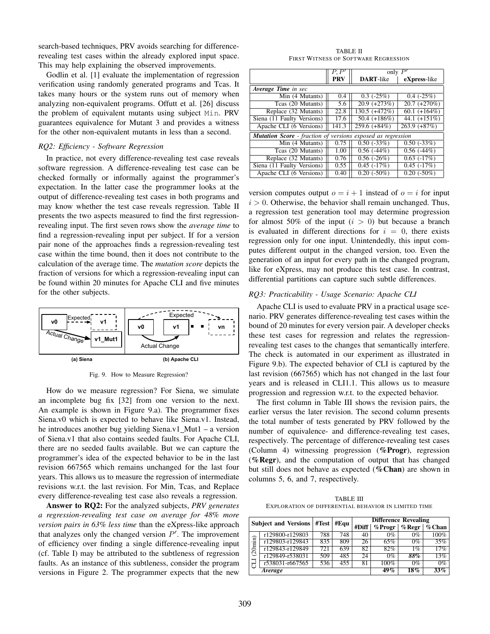search-based techniques, PRV avoids searching for differencerevealing test cases within the already explored input space. This may help explaining the observed improvements.

Godlin et al. [1] evaluate the implementation of regression verification using randomly generated programs and Tcas. It takes many hours or the system runs out of memory when analyzing non-equivalent programs. Offutt et al. [26] discuss the problem of equivalent mutants using subject Min. PRV guarantees equivalence for Mutant 3 and provides a witness for the other non-equivalent mutants in less than a second.

## *RQ2: Efficiency - Software Regression*

In practice, not every difference-revealing test case reveals software regression. A difference-revealing test case can be checked formally or informally against the programmer's expectation. In the latter case the programmer looks at the output of difference-revealing test cases in both programs and may know whether the test case reveals regression. Table II presents the two aspects measured to find the first regressionrevealing input. The first seven rows show the *average time* to find a regression-revealing input per subject. If for a version pair none of the approaches finds a regression-revealing test case within the time bound, then it does not contribute to the calculation of the average time. The *mutation score* depicts the fraction of versions for which a regression-revealing input can be found within 20 minutes for Apache CLI and five minutes for the other subjects.



Fig. 9. How to Measure Regression?

How do we measure regression? For Siena, we simulate an incomplete bug fix [32] from one version to the next. An example is shown in Figure 9.a). The programmer fixes Siena.v0 which is expected to behave like Siena.v1. Instead, he introduces another bug yielding Siena.v1\_Mut1 – a version of Siena.v1 that also contains seeded faults. For Apache CLI, there are no seeded faults available. But we can capture the programmer's idea of the expected behavior to be in the last revision 667565 which remains unchanged for the last four years. This allows us to measure the regression of intermediate revisions w.r.t. the last revision. For Min, Tcas, and Replace every difference-revealing test case also reveals a regression.

Answer to RQ2: For the analyzed subjects, *PRV generates a regression-revealing test case on average for 48% more version pairs in 63% less time* than the eXpress-like approach that analyzes only the changed version  $P'$ . The improvement of efficiency over finding a single difference-revealing input (cf. Table I) may be attributed to the subtleness of regression faults. As an instance of this subtleness, consider the program versions in Figure 2. The programmer expects that the new

TABLE II FIRST WITNESS OF SOFTWARE REGRESSION

| P'<br>$P\!\!\!\!\cdot\!\!\!\!\cdot\!\!\!\!\cdot\!\!\!\!\cdot\!\!\!\!\cdot\!\!\!\!\cdot\!\!\!\!\cdot\!\!\!\!\cdot\!\!\!\!\cdot\!\!\!\!\cdot\!\!\!\!\cdot\!\!\!\!\cdot\!\!\!\!\cdot\!\!\!\!\cdot\!\!\!\!\cdot\!\!\!\!\cdot\!\!\!\!\cdot\!\!\!\!\cdot\!\!\!\!\cdot\!\!\!\!\cdot\!\!\!\!\cdot\!\!\!\!\cdot\!\!\!\!\cdot\!\!\!\!\cdot\!\!\!\!\cdot\!\!\!\!\cdot\!\!\!\!\cdot\!\!\!\!\cdot\!\!\!\!\cdot\!\!\!\!\cdot\!\!\!\!\cdot\!\!\!\!\cdot\!\!\!\!\cdot\!\!\!\!\cdot\!\!\!\!\cdot\!\!\!\!\cdot\!\!\$<br>only |            |                    |                    |  |
|------------------------------------------------------------------------------------------------------------------------------------------------------------------------------------------------------------------------------------------------------------------------------------------------------------------------------------------------------------------------------------------------------------------------------------------------------------------------------------------------------------|------------|--------------------|--------------------|--|
|                                                                                                                                                                                                                                                                                                                                                                                                                                                                                                            | <b>PRV</b> | <b>DART-like</b>   | eXpress-like       |  |
| Average Time in sec                                                                                                                                                                                                                                                                                                                                                                                                                                                                                        |            |                    |                    |  |
| Min (4 Mutants)                                                                                                                                                                                                                                                                                                                                                                                                                                                                                            | 0.4        | $0.3$ ( $-25\%$ )  | $0.4$ ( $-25\%$ )  |  |
| Teas (20 Mutants)                                                                                                                                                                                                                                                                                                                                                                                                                                                                                          | 5.6        | $20.9 (+273%)$     | $20.7 (+270%)$     |  |
| Replace (32 Mutants)                                                                                                                                                                                                                                                                                                                                                                                                                                                                                       | 22.8       | 130.5 (+472%)      | $60.1 (+164%)$     |  |
| Siena (11 Faulty Versions)                                                                                                                                                                                                                                                                                                                                                                                                                                                                                 | 17.6       | 50.4 $(+186%)$     | 44.1 $(+151\%)$    |  |
| Apache CLI (6 Versions)                                                                                                                                                                                                                                                                                                                                                                                                                                                                                    | 141.3      | $259.6 (+84%)$     | $263.9 (+87%)$     |  |
| <b>Mutation Score</b> - fraction of versions exposed as regression                                                                                                                                                                                                                                                                                                                                                                                                                                         |            |                    |                    |  |
| Min (4 Mutants)                                                                                                                                                                                                                                                                                                                                                                                                                                                                                            | 0.75       | $0.50(-33%)$       | $0.50(-33%)$       |  |
| Teas (20 Mutants)                                                                                                                                                                                                                                                                                                                                                                                                                                                                                          | 1.00       | $0.56$ $(-44%)$    | $0.56$ (-44%)      |  |
| Replace (32 Mutants)                                                                                                                                                                                                                                                                                                                                                                                                                                                                                       | 0.76       | $0.56(-26%)$       | $0.63$ $(-17%)$    |  |
| Siena (11 Faulty Versions)                                                                                                                                                                                                                                                                                                                                                                                                                                                                                 | 0.55       | $0.45$ ( $-17\%$ ) | $0.45$ ( $-17\%$ ) |  |
| Apache CLI (6 Versions)                                                                                                                                                                                                                                                                                                                                                                                                                                                                                    | 0.40       | $0.20(-50\%)$      | $0.20(-50\%)$      |  |

version computes output  $o = i + 1$  instead of  $o = i$  for input  $i > 0$ . Otherwise, the behavior shall remain unchanged. Thus, a regression test generation tool may determine progression for almost 50% of the input  $(i > 0)$  but because a branch is evaluated in different directions for  $i = 0$ , there exists regression only for one input. Unintendedly, this input computes different output in the changed version, too. Even the generation of an input for every path in the changed program, like for eXpress, may not produce this test case. In contrast, differential partitions can capture such subtle differences.

## *RQ3: Practicability - Usage Scenario: Apache CLI*

Apache CLI is used to evaluate PRV in a practical usage scenario. PRV generates difference-revealing test cases within the bound of 20 minutes for every version pair. A developer checks these test cases for regression and relates the regressionrevealing test cases to the changes that semantically interfere. The check is automated in our experiment as illustrated in Figure 9.b). The expected behavior of CLI is captured by the last revision (667565) which has not changed in the last four years and is released in CLI1.1. This allows us to measure progression and regression w.r.t. to the expected behavior.

The first column in Table III shows the revision pairs, the earlier versus the later revision. The second column presents the total number of tests generated by PRV followed by the number of equivalence- and difference-revealing test cases, respectively. The percentage of difference-revealing test cases (Column 4) witnessing progression (%Progr), regression ( $%$ **Regr**), and the computation of output that has changed but still does not behave as expected (%Chan) are shown in columns 5, 6, and 7, respectively.

TABLE III EXPLORATION OF DIFFERENTIAL BEHAVIOR IN LIMITED TIME

|         | <b>Subject and Versions</b> | #Equ<br>#Test |                  | <b>Difference Revealing</b> |           |           |           |
|---------|-----------------------------|---------------|------------------|-----------------------------|-----------|-----------|-----------|
|         |                             |               |                  | #Diff                       | $%$ Progr | $\%$ Regr | $\%$ Chan |
|         | r129800-r129803             | 788           | $7\overline{48}$ | 40                          | $0\%$     | $0\%$     | 100%      |
| (20min) | r129803-r129843             | 835           | 809              | 26                          | 65%       | $0\%$     | 35%       |
|         | r129843-r129849             | 721           | 639              | 82                          | 82%       | $1\%$     | 17%       |
|         | r129849-r538031             | 509           | 485              | 24                          | $0\%$     | 88%       | 13%       |
| ਹ       | r538031-r667565             | 536           | 455              | 81                          | 100%      | $0\%$     | $0\%$     |
|         | Average                     |               |                  |                             | 49%       | 18%       | $33\%$    |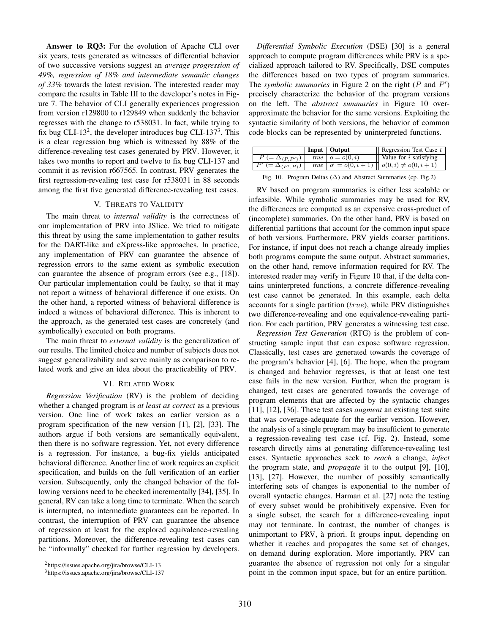Answer to RQ3: For the evolution of Apache CLI over six years, tests generated as witnesses of differential behavior of two successive versions suggest an *average progression of 49%, regression of 18% and intermediate semantic changes of 33%* towards the latest revision. The interested reader may compare the results in Table III to the developer's notes in Figure 7. The behavior of CLI generally experiences progression from version r129800 to r129849 when suddenly the behavior regresses with the change to r538031. In fact, while trying to fix bug CLI-13<sup>2</sup>, the developer introduces bug CLI-137<sup>3</sup>. This is a clear regression bug which is witnessed by 88% of the difference-revealing test cases generated by PRV. However, it takes two months to report and twelve to fix bug CLI-137 and commit it as revision r667565. In contrast, PRV generates the first regression-revealing test case for r538031 in 88 seconds among the first five generated difference-revealing test cases.

#### V. THREATS TO VALIDITY

The main threat to *internal validity* is the correctness of our implementation of PRV into JSlice. We tried to mitigate this threat by using the same implementation to gather results for the DART-like and eXpress-like approaches. In practice, any implementation of PRV can guarantee the absence of regression errors to the same extent as symbolic execution can guarantee the absence of program errors (see e.g., [18]). Our particular implementation could be faulty, so that it may not report a witness of behavioral difference if one exists. On the other hand, a reported witness of behavioral difference is indeed a witness of behavioral difference. This is inherent to the approach, as the generated test cases are concretely (and symbolically) executed on both programs.

The main threat to *external validity* is the generalization of our results. The limited choice and number of subjects does not suggest generalizability and serve mainly as comparison to related work and give an idea about the practicability of PRV.

#### VI. RELATED WORK

*Regression Verification* (RV) is the problem of deciding whether a changed program is *at least as correct* as a previous version. One line of work takes an earlier version as a program specification of the new version [1], [2], [33]. The authors argue if both versions are semantically equivalent, then there is no software regression. Yet, not every difference is a regression. For instance, a bug-fix yields anticipated behavioral difference. Another line of work requires an explicit specification, and builds on the full verification of an earlier version. Subsequently, only the changed behavior of the following versions need to be checked incrementally [34], [35]. In general, RV can take a long time to terminate. When the search is interrupted, no intermediate guarantees can be reported. In contrast, the interruption of PRV can guarantee the absence of regression at least for the explored equivalence-revealing partitions. Moreover, the difference-revealing test cases can be "informally" checked for further regression by developers.

*Differential Symbolic Execution* (DSE) [30] is a general approach to compute program differences while PRV is a specialized approach tailored to RV. Specifically, DSE computes the differences based on two types of program summaries. The *symbolic summaries* in Figure 2 on the right  $(P \text{ and } P')$ precisely characterize the behavior of the program versions on the left. The *abstract summaries* in Figure 10 overapproximate the behavior for the same versions. Exploiting the syntactic similarity of both versions, the behavior of common code blocks can be represented by uninterpreted functions.

|                                                    | Input   Output     | $\parallel$ Regression Test Case t                        |
|----------------------------------------------------|--------------------|-----------------------------------------------------------|
| $P (= \Delta_{\langle P, P'\rangle})$              | true $o = o(0, i)$ | Value for $i$ satisfying                                  |
| $\overline{P' \in \Delta_{\langle P', P \rangle}}$ |                    | <i>true</i> $o' = o(0, i + 1)$ $o(0, i) \neq o(0, i + 1)$ |

Fig. 10. Program Deltas  $(\Delta)$  and Abstract Summaries (cp. Fig.2)

RV based on program summaries is either less scalable or infeasible. While symbolic summaries may be used for RV, the differences are computed as an expensive cross-product of (incomplete) summaries. On the other hand, PRV is based on differential partitions that account for the common input space of both versions. Furthermore, PRV yields coarser partitions. For instance, if input does not reach a change already implies both programs compute the same output. Abstract summaries, on the other hand, remove information required for RV. The interested reader may verify in Figure 10 that, if the delta contains uninterpreted functions, a concrete difference-revealing test case cannot be generated. In this example, each delta accounts for a single partition  $(true)$ , while PRV distinguishes two difference-revealing and one equivalence-revealing partition. For each partition, PRV generates a witnessing test case.

*Regression Test Generation* (RTG) is the problem of constructing sample input that can expose software regression. Classically, test cases are generated towards the coverage of the program's behavior [4], [6]. The hope, when the program is changed and behavior regresses, is that at least one test case fails in the new version. Further, when the program is changed, test cases are generated towards the coverage of program elements that are affected by the syntactic changes [11], [12], [36]. These test cases *augment* an existing test suite that was coverage-adequate for the earlier version. However, the analysis of a single program may be insufficient to generate a regression-revealing test case (cf. Fig. 2). Instead, some research directly aims at generating difference-revealing test cases. Syntactic approaches seek to *reach* a change, *infect* the program state, and *propagate* it to the output [9], [10], [13], [27]. However, the number of possibly semantically interfering sets of changes is exponential to the number of overall syntactic changes. Harman et al. [27] note the testing of every subset would be prohibitively expensive. Even for a single subset, the search for a difference-revealing input may not terminate. In contrast, the number of changes is unimportant to PRV, a priori. It groups input, depending on ` whether it reaches and propagates the same set of changes, on demand during exploration. More importantly, PRV can guarantee the absence of regression not only for a singular point in the common input space, but for an entire partition.

<sup>2</sup>https://issues.apache.org/jira/browse/CLI-13

<sup>3</sup>https://issues.apache.org/jira/browse/CLI-137